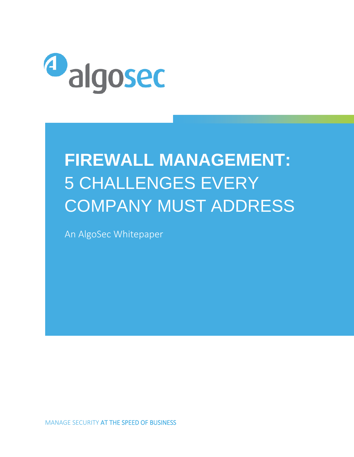

# **FIREWALL MANAGEMENT:**  5 CHALLENGES EVERY COMPANY MUST ADDRESS

An AlgoSec Whitepaper

MANAGE SECURITY AT THE SPEED OF BUSINESS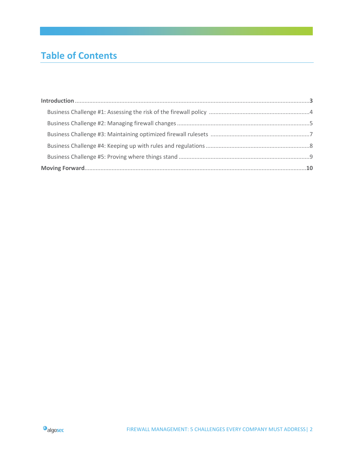# **Table of Contents**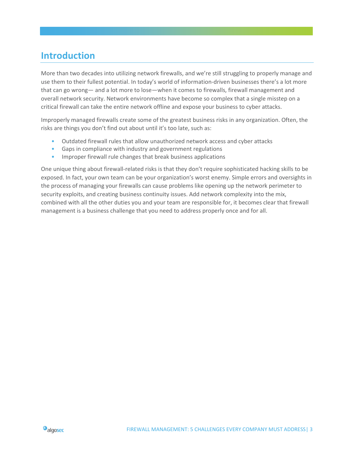### **Introduction**

More than two decades into utilizing network firewalls, and we're still struggling to properly manage and use them to their fullest potential. In today's world of information-driven businesses there's a lot more that can go wrong— and a lot more to lose—when it comes to firewalls, firewall management and overall network security. Network environments have become so complex that a single misstep on a critical firewall can take the entire network offline and expose your business to cyber attacks.

Improperly managed firewalls create some of the greatest business risks in any organization. Often, the risks are things you don't find out about until it's too late, such as:

- Outdated firewall rules that allow unauthorized network access and cyber attacks
- Gaps in compliance with industry and government regulations
- Improper firewall rule changes that break business applications

One unique thing about firewall-related risks is that they don't require sophisticated hacking skills to be exposed. In fact, your own team can be your organization's worst enemy. Simple errors and oversights in the process of managing your firewalls can cause problems like opening up the network perimeter to security exploits, and creating business continuity issues. Add network complexity into the mix, combined with all the other duties you and your team are responsible for, it becomes clear that firewall management is a business challenge that you need to address properly once and for all.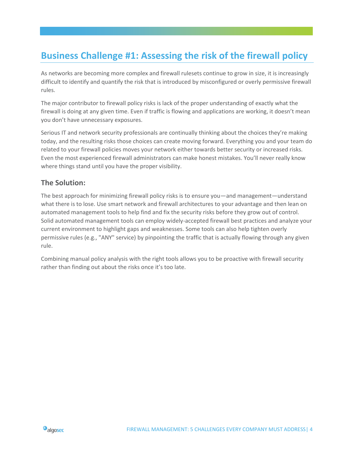## **Business Challenge #1: Assessing the risk of the firewall policy**

As networks are becoming more complex and firewall rulesets continue to grow in size, it is increasingly difficult to identify and quantify the risk that is introduced by misconfigured or overly permissive firewall rules.

The major contributor to firewall policy risks is lack of the proper understanding of exactly what the firewall is doing at any given time. Even if traffic is flowing and applications are working, it doesn't mean you don't have unnecessary exposures.

Serious IT and network security professionals are continually thinking about the choices they're making today, and the resulting risks those choices can create moving forward. Everything you and your team do related to your firewall policies moves your network either towards better security or increased risks. Even the most experienced firewall administrators can make honest mistakes. You'll never really know where things stand until you have the proper visibility.

### **The Solution:**

The best approach for minimizing firewall policy risks is to ensure you—and management—understand what there is to lose. Use smart network and firewall architectures to your advantage and then lean on automated management tools to help find and fix the security risks before they grow out of control. Solid automated management tools can employ widely-accepted firewall best practices and analyze your current environment to highlight gaps and weaknesses. Some tools can also help tighten overly permissive rules (e.g., "ANY" service) by pinpointing the traffic that is actually flowing through any given rule.

Combining manual policy analysis with the right tools allows you to be proactive with firewall security rather than finding out about the risks once it's too late.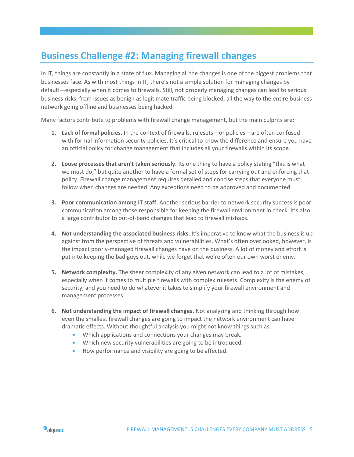## **Business Challenge #2: Managing firewall changes**

In IT, things are constantly in a state of flux. Managing all the changes is one of the biggest problems that businesses face. As with most things in IT, there's not a simple solution for managing changes by default—especially when it comes to firewalls. Still, not properly managing changes can lead to serious business risks, from issues as benign as legitimate traffic being blocked, all the way to the entire business network going offline and businesses being hacked.

Many factors contribute to problems with firewall change management, but the main culprits are:

- **1. Lack of formal policies.** In the context of firewalls, rulesets—or policies—are often confused with formal information security policies. It's critical to know the difference and ensure you have an official policy for change management that includes all your firewalls within its scope.
- **2. Loose processes that aren't taken seriously.** Its one thing to have a policy stating "this is what we must do," but quite another to have a formal set of steps for carrying out and enforcing that policy. Firewall change management requires detailed and concise steps that everyone must follow when changes are needed. Any exceptions need to be approved and documented.
- **3. Poor communication among IT staff.** Another serious barrier to network security success is poor communication among those responsible for keeping the firewall environment in check. It's also a large contributor to out-of-band changes that lead to firewall mishaps.
- **4. Not understanding the associated business risks**. It's imperative to know what the business is up against from the perspective of threats and vulnerabilities. What's often overlooked, however, is the impact poorly-managed firewall changes have on the business. A lot of money and effort is put into keeping the bad guys out, while we forget that we're often our own worst enemy.
- **5. Network complexity.** The sheer complexity of any given network can lead to a lot of mistakes, especially when it comes to multiple firewalls with complex rulesets. Complexity is the enemy of security, and you need to do whatever it takes to simplify your firewall environment and management processes.
- **6. Not understanding the impact of firewall changes.** Not analyzing and thinking through how even the smallest firewall changes are going to impact the network environment can have dramatic effects. Without thoughtful analysis you might not know things such as:
	- Which applications and connections your changes may break.
	- Which new security vulnerabilities are going to be introduced.
	- How performance and visibility are going to be affected.

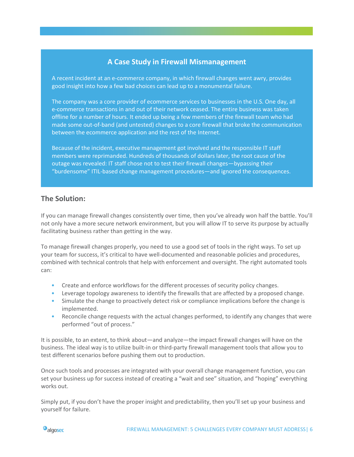### **A Case Study in Firewall Mismanagement**

A recent incident at an e-commerce company, in which firewall changes went awry, provides good insight into how a few bad choices can lead up to a monumental failure.

The company was a core provider of ecommerce services to businesses in the U.S. One day, all e-commerce transactions in and out of their network ceased. The entire business was taken offline for a number of hours. It ended up being a few members of the firewall team who had made some out-of-band (and untested) changes to a core firewall that broke the communication between the ecommerce application and the rest of the Internet.

Because of the incident, executive management got involved and the responsible IT staff members were reprimanded. Hundreds of thousands of dollars later, the root cause of the outage was revealed: IT staff chose not to test their firewall changes—bypassing their "burdensome" ITIL-based change management procedures—and ignored the consequences.

#### **The Solution:**

If you can manage firewall changes consistently over time, then you've already won half the battle. You'll not only have a more secure network environment, but you will allow IT to serve its purpose by actually facilitating business rather than getting in the way.

To manage firewall changes properly, you need to use a good set of tools in the right ways. To set up your team for success, it's critical to have well-documented and reasonable policies and procedures, combined with technical controls that help with enforcement and oversight. The right automated tools can:

- Create and enforce workflows for the different processes of security policy changes.
- Leverage topology awareness to identify the firewalls that are affected by a proposed change.
- Simulate the change to proactively detect risk or compliance implications before the change is implemented.
- Reconcile change requests with the actual changes performed, to identify any changes that were performed "out of process."

It is possible, to an extent, to think about—and analyze—the impact firewall changes will have on the business. The ideal way is to utilize built-in or third-party firewall management tools that allow you to test different scenarios before pushing them out to production.

Once such tools and processes are integrated with your overall change management function, you can set your business up for success instead of creating a "wait and see" situation, and "hoping" everything works out.

Simply put, if you don't have the proper insight and predictability, then you'll set up your business and yourself for failure.

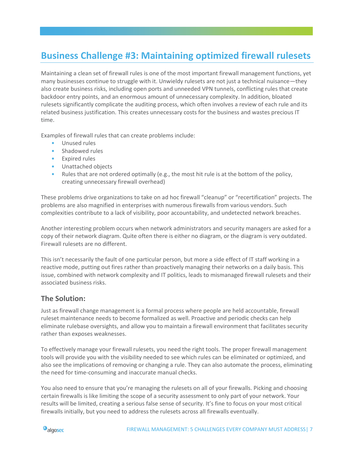## **Business Challenge #3: Maintaining optimized firewall rulesets**

Maintaining a clean set of firewall rules is one of the most important firewall management functions, yet many businesses continue to struggle with it. Unwieldy rulesets are not just a technical nuisance—they also create business risks, including open ports and unneeded VPN tunnels, conflicting rules that create backdoor entry points, and an enormous amount of unnecessary complexity. In addition, bloated rulesets significantly complicate the auditing process, which often involves a review of each rule and its related business justification. This creates unnecessary costs for the business and wastes precious IT time.

Examples of firewall rules that can create problems include:

- Unused rules
- Shadowed rules
- Expired rules
- Unattached objects
- Rules that are not ordered optimally (e.g., the most hit rule is at the bottom of the policy, creating unnecessary firewall overhead)

These problems drive organizations to take on ad hoc firewall "cleanup" or "recertification" projects. The problems are also magnified in enterprises with numerous firewalls from various vendors. Such complexities contribute to a lack of visibility, poor accountability, and undetected network breaches.

Another interesting problem occurs when network administrators and security managers are asked for a copy of their network diagram. Quite often there is either no diagram, or the diagram is very outdated. Firewall rulesets are no different.

This isn't necessarily the fault of one particular person, but more a side effect of IT staff working in a reactive mode, putting out fires rather than proactively managing their networks on a daily basis. This issue, combined with network complexity and IT politics, leads to mismanaged firewall rulesets and their associated business risks.

#### **The Solution:**

Just as firewall change management is a formal process where people are held accountable, firewall ruleset maintenance needs to become formalized as well. Proactive and periodic checks can help eliminate rulebase oversights, and allow you to maintain a firewall environment that facilitates security rather than exposes weaknesses.

To effectively manage your firewall rulesets, you need the right tools. The proper firewall management tools will provide you with the visibility needed to see which rules can be eliminated or optimized, and also see the implications of removing or changing a rule. They can also automate the process, eliminating the need for time-consuming and inaccurate manual checks.

You also need to ensure that you're managing the rulesets on all of your firewalls. Picking and choosing certain firewalls is like limiting the scope of a security assessment to only part of your network. Your results will be limited, creating a serious false sense of security. It's fine to focus on your most critical firewalls initially, but you need to address the rulesets across all firewalls eventually.

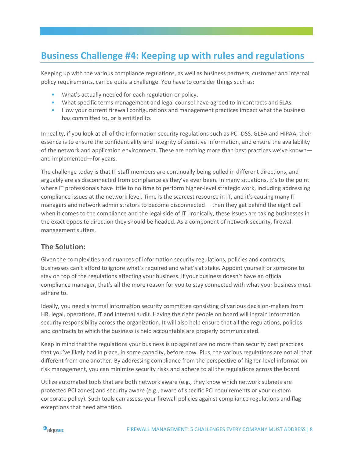### **Business Challenge #4: Keeping up with rules and regulations**

Keeping up with the various compliance regulations, as well as business partners, customer and internal policy requirements, can be quite a challenge. You have to consider things such as:

- What's actually needed for each regulation or policy.
- What specific terms management and legal counsel have agreed to in contracts and SLAs.
- How your current firewall configurations and management practices impact what the business has committed to, or is entitled to.

In reality, if you look at all of the information security regulations such as PCI-DSS, GLBA and HIPAA, their essence is to ensure the confidentiality and integrity of sensitive information, and ensure the availability of the network and application environment. These are nothing more than best practices we've known and implemented—for years.

The challenge today is that IT staff members are continually being pulled in different directions, and arguably are as disconnected from compliance as they've ever been. In many situations, it's to the point where IT professionals have little to no time to perform higher-level strategic work, including addressing compliance issues at the network level. Time is the scarcest resource in IT, and it's causing many IT managers and network administrators to become disconnected— then they get behind the eight ball when it comes to the compliance and the legal side of IT. Ironically, these issues are taking businesses in the exact opposite direction they should be headed. As a component of network security, firewall management suffers.

#### **The Solution:**

Given the complexities and nuances of information security regulations, policies and contracts, businesses can't afford to ignore what's required and what's at stake. Appoint yourself or someone to stay on top of the regulations affecting your business. If your business doesn't have an official compliance manager, that's all the more reason for you to stay connected with what your business must adhere to.

Ideally, you need a formal information security committee consisting of various decision-makers from HR, legal, operations, IT and internal audit. Having the right people on board will ingrain information security responsibility across the organization. It will also help ensure that all the regulations, policies and contracts to which the business is held accountable are properly communicated.

Keep in mind that the regulations your business is up against are no more than security best practices that you've likely had in place, in some capacity, before now. Plus, the various regulations are not all that different from one another. By addressing compliance from the perspective of higher-level information risk management, you can minimize security risks and adhere to all the regulations across the board.

Utilize automated tools that are both network aware (e.g., they know which network subnets are protected PCI zones) and security aware (e.g., aware of specific PCI requirements or your custom corporate policy). Such tools can assess your firewall policies against compliance regulations and flag exceptions that need attention.

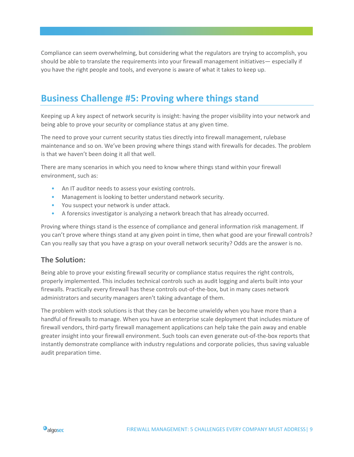Compliance can seem overwhelming, but considering what the regulators are trying to accomplish, you should be able to translate the requirements into your firewall management initiatives— especially if you have the right people and tools, and everyone is aware of what it takes to keep up.

### **Business Challenge #5: Proving where things stand**

Keeping up A key aspect of network security is insight: having the proper visibility into your network and being able to prove your security or compliance status at any given time.

The need to prove your current security status ties directly into firewall management, rulebase maintenance and so on. We've been proving where things stand with firewalls for decades. The problem is that we haven't been doing it all that well.

There are many scenarios in which you need to know where things stand within your firewall environment, such as:

- An IT auditor needs to assess your existing controls.
- Management is looking to better understand network security.
- You suspect your network is under attack.
- A forensics investigator is analyzing a network breach that has already occurred.

Proving where things stand is the essence of compliance and general information risk management. If you can't prove where things stand at any given point in time, then what good are your firewall controls? Can you really say that you have a grasp on your overall network security? Odds are the answer is no.

#### **The Solution:**

Being able to prove your existing firewall security or compliance status requires the right controls, properly implemented. This includes technical controls such as audit logging and alerts built into your firewalls. Practically every firewall has these controls out-of-the-box, but in many cases network administrators and security managers aren't taking advantage of them.

The problem with stock solutions is that they can be become unwieldy when you have more than a handful of firewalls to manage. When you have an enterprise scale deployment that includes mixture of firewall vendors, third-party firewall management applications can help take the pain away and enable greater insight into your firewall environment. Such tools can even generate out-of-the-box reports that instantly demonstrate compliance with industry regulations and corporate policies, thus saving valuable audit preparation time.

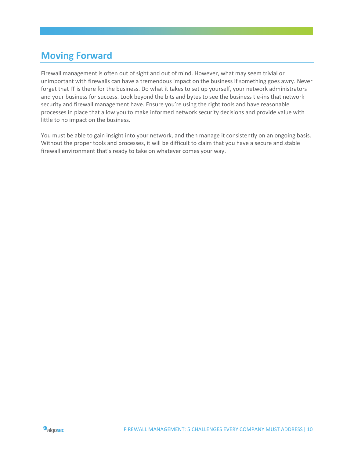### **Moving Forward**

Firewall management is often out of sight and out of mind. However, what may seem trivial or unimportant with firewalls can have a tremendous impact on the business if something goes awry. Never forget that IT is there for the business. Do what it takes to set up yourself, your network administrators and your business for success. Look beyond the bits and bytes to see the business tie-ins that network security and firewall management have. Ensure you're using the right tools and have reasonable processes in place that allow you to make informed network security decisions and provide value with little to no impact on the business.

You must be able to gain insight into your network, and then manage it consistently on an ongoing basis. Without the proper tools and processes, it will be difficult to claim that you have a secure and stable firewall environment that's ready to take on whatever comes your way.